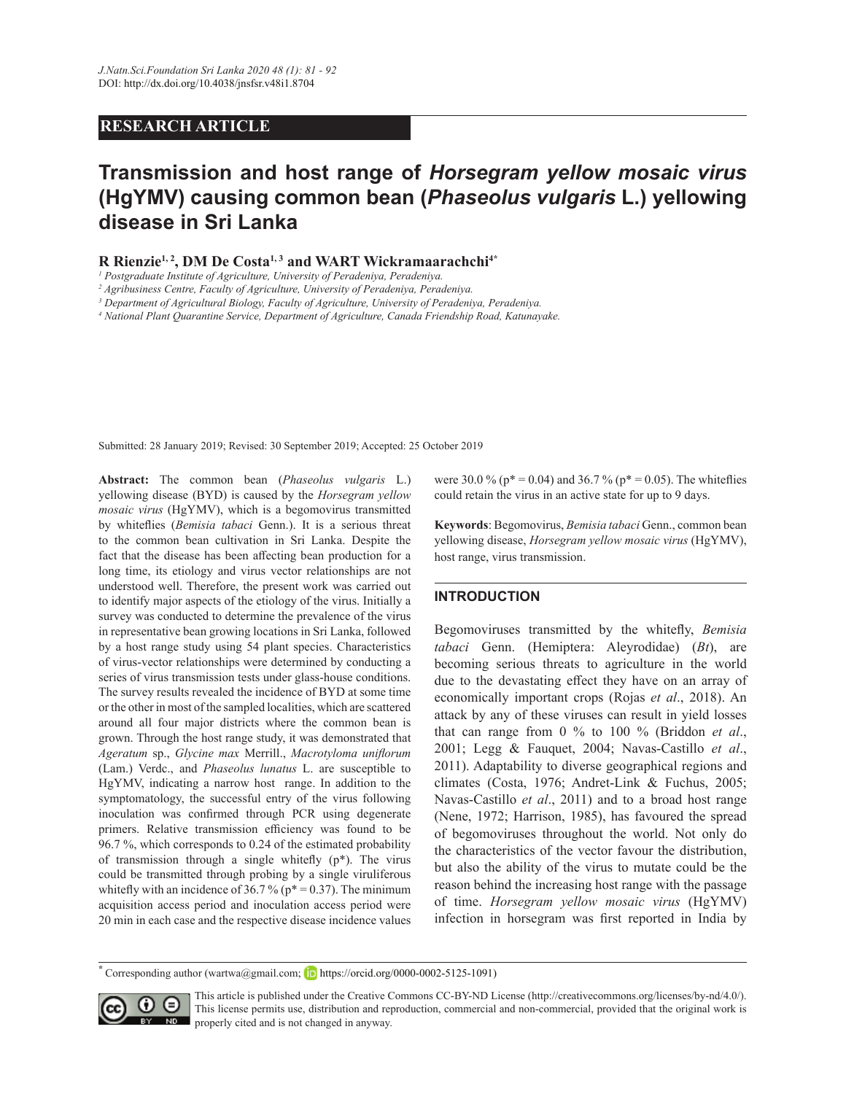# **RESEARCH ARTICLE**

# **Transmission and host range of** *Horsegram yellow mosaic virus* **(HgYMV)** causing common bean (*Phaseolus vulgaris* L.) yellowing **disease in Sri Lanka**

**55LHQ]LH1, 2, DM De Costa1, 3 and WART Wickramaarachchi4\***

*1 Postgraduate Institute of Agriculture, University of Peradeniya, Peradeniya.*

*3 Department of Agricultural Biology, Faculty of Agriculture, University of Peradeniya, Peradeniya.* 

*4 National Plant Quarantine Service, Department of Agriculture, Canada Friendship Road, Katunayake.*

Submitted: 28 January 2019; Revised: 30 September 2019; Accepted: 25 October 2019

Abstract: The common bean (*Phaseolus vulgaris* L.) yellowing disease (BYD) is caused by the *Horsegram yellow mosaic virus* (HgYMV), which is a begomovirus transmitted by whiteflies (Bemisia tabaci Genn.). It is a serious threat to the common bean cultivation in Sri Lanka. Despite the fact that the disease has been affecting bean production for a long time, its etiology and virus vector relationships are not understood well. Therefore, the present work was carried out to identify major aspects of the etiology of the virus. Initially a survey was conducted to determine the prevalence of the virus in representative bean growing locations in Sri Lanka, followed by a host range study using 54 plant species. Characteristics of virus-vector relationships were determined by conducting a series of virus transmission tests under glass-house conditions. The survey results revealed the incidence of BYD at some time or the other in most of the sampled localities, which are scattered around all four major districts where the common bean is grown. Through the host range study, it was demonstrated that  $A$ geratum sp., *Glycine max Merrill., Macrotyloma uniflorum* (Lam.) Verdc., and *Phaseolus lunatus* L. are susceptible to HgYMV, indicating a narrow host range. In addition to the symptomatology, the successful entry of the virus following inoculation was confirmed through PCR using degenerate primers. Relative transmission efficiency was found to be 96.7 %, which corresponds to 0.24 of the estimated probability of transmission through a single whitefly  $(p^*)$ . The virus could be transmitted through probing by a single viruliferous whitefly with an incidence of 36.7 % ( $p^*$  = 0.37). The minimum acquisition access period and inoculation access period were 20 min in each case and the respective disease incidence values

were 30.0 % ( $p^* = 0.04$ ) and 36.7 % ( $p^* = 0.05$ ). The white flies could retain the virus in an active state for up to 9 days.

Keywords: Begomovirus, *Bemisia tabaci* Genn., common bean yellowing disease, *Horsegram yellow mosaic virus* (HgYMV), host range, virus transmission.

## **INTRODUCTION**

Begomoviruses transmitted by the whitefly, *Bemisia tabaci* Genn. (Hemiptera: Aleyrodidae) (*Bt*), are becoming serious threats to agriculture in the world due to the devastating effect they have on an array of economically important crops (Rojas *et al*., 2018). An attack by any of these viruses can result in yield losses that can range from 0 % to 100 % (Briddon *et al*., 2001; Legg & Fauquet, 2004; Navas-Castillo *et al*., 2011). Adaptability to diverse geographical regions and climates (Costa, 1976; Andret-Link & Fuchus, 2005; Navas-Castillo *et al*., 2011) and to a broad host range (Nene, 1972; Harrison, 1985), has favoured the spread of begomoviruses throughout the world. Not only do the characteristics of the vector favour the distribution, but also the ability of the virus to mutate could be the reason behind the increasing host range with the passage of time. *Horsegram yellow mosaic virus* (HgYMV) infection in horsegram was first reported in India by

Corresponding author (wartwa@gmail.com; **b** https://orcid.org/0000-0002-5125-1091)



This article is published under the Creative Commons CC-BY-ND License (http://creativecommons.org/licenses/by-nd/4.0/). This license permits use, distribution and reproduction, commercial and non-commercial, provided that the original work is **ND** properly cited and is not changed in anyway.

*<sup>2</sup> Agribusiness Centre, Faculty of Agriculture, University of Peradeniya, Peradeniya.*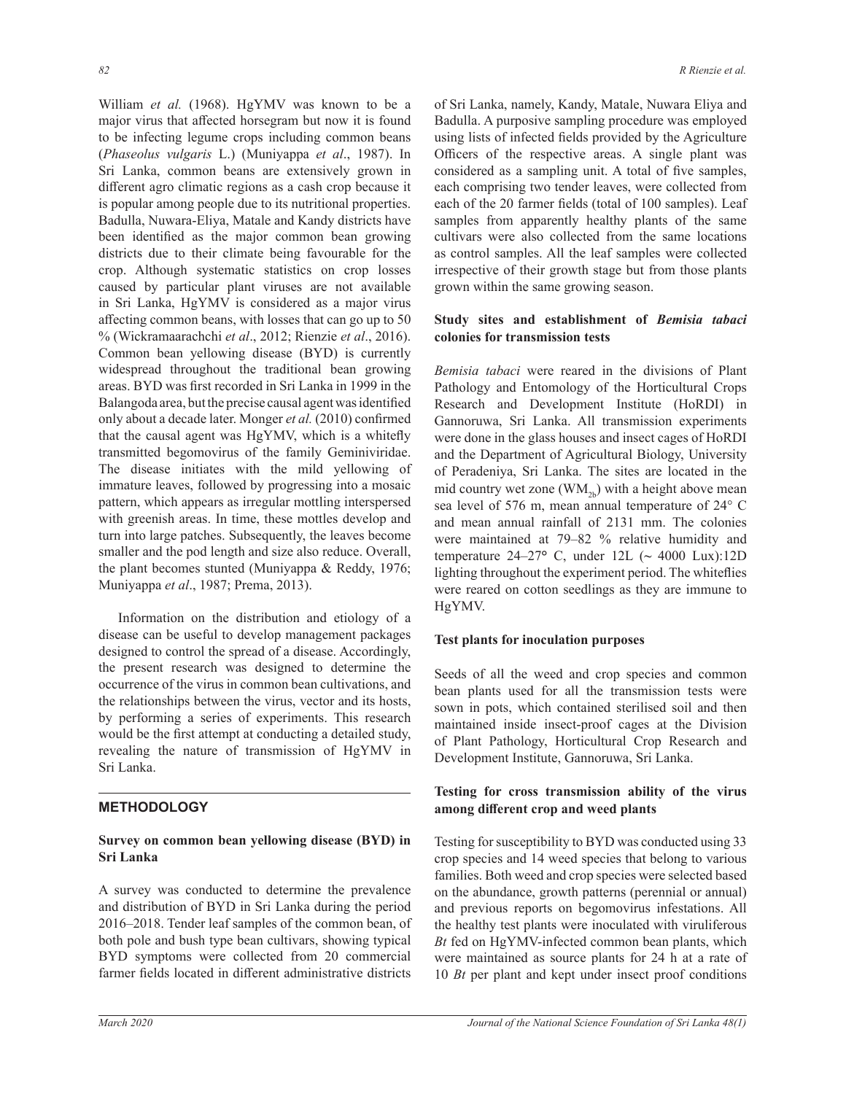William *et al.* (1968). HgYMV was known to be a major virus that affected horsegram but now it is found to be infecting legume crops including common beans (*Phaseolus vulgaris* L.) (Muniyappa *et al*., 1987). In Sri Lanka, common beans are extensively grown in different agro climatic regions as a cash crop because it is popular among people due to its nutritional properties. Badulla, Nuwara-Eliya, Matale and Kandy districts have been identified as the major common bean growing districts due to their climate being favourable for the crop. Although systematic statistics on crop losses caused by particular plant viruses are not available in Sri Lanka, HgYMV is considered as a major virus affecting common beans, with losses that can go up to 50 % (Wickramaarachchi *et al*., 2012; Rienzie *et al*., 2016). Common bean yellowing disease (BYD) is currently widespread throughout the traditional bean growing areas. BYD was first recorded in Sri Lanka in 1999 in the Balangoda area, but the precise causal agent was identified only about a decade later. Monger et al. (2010) confirmed that the causal agent was HgYMV, which is a whitefly transmitted begomovirus of the family Geminiviridae. The disease initiates with the mild yellowing of immature leaves, followed by progressing into a mosaic pattern, which appears as irregular mottling interspersed with greenish areas. In time, these mottles develop and turn into large patches. Subsequently, the leaves become smaller and the pod length and size also reduce. Overall, the plant becomes stunted (Muniyappa & Reddy, 1976; Muniyappa *et al*., 1987; Prema, 2013).

 Information on the distribution and etiology of a disease can be useful to develop management packages designed to control the spread of a disease. Accordingly, the present research was designed to determine the occurrence of the virus in common bean cultivations, and the relationships between the virus, vector and its hosts, by performing a series of experiments. This research would be the first attempt at conducting a detailed study, revealing the nature of transmission of HgYMV in Sri Lanka.

## **METHODOLOGY**

## Survey on common bean yellowing disease (BYD) in **Sri Lanka**

A survey was conducted to determine the prevalence and distribution of BYD in Sri Lanka during the period 2016–2018. Tender leaf samples of the common bean, of both pole and bush type bean cultivars, showing typical BYD symptoms were collected from 20 commercial farmer fields located in different administrative districts

of Sri Lanka, namely, Kandy, Matale, Nuwara Eliya and Badulla. A purposive sampling procedure was employed using lists of infected fields provided by the Agriculture Officers of the respective areas. A single plant was considered as a sampling unit. A total of five samples, each comprising two tender leaves, were collected from each of the 20 farmer fields (total of 100 samples). Leaf samples from apparently healthy plants of the same cultivars were also collected from the same locations as control samples. All the leaf samples were collected irrespective of their growth stage but from those plants grown within the same growing season.

# Study sites and establishment of *Bemisia tabaci* **colonies for transmission tests**

*Bemisia tabaci* were reared in the divisions of Plant Pathology and Entomology of the Horticultural Crops Research and Development Institute (HoRDI) in Gannoruwa, Sri Lanka. All transmission experiments were done in the glass houses and insect cages of HoRDI and the Department of Agricultural Biology, University of Peradeniya, Sri Lanka. The sites are located in the mid country wet zone  $(WM_{2b})$  with a height above mean sea level of 576 m, mean annual temperature of 24° C and mean annual rainfall of 2131 mm. The colonies were maintained at 79–82 % relative humidity and temperature 24–27**°** C, under 12L (**~** 4000 Lux):12D lighting throughout the experiment period. The whiteflies were reared on cotton seedlings as they are immune to HgYMV.

## **Test plants for inoculation purposes**

Seeds of all the weed and crop species and common bean plants used for all the transmission tests were sown in pots, which contained sterilised soil and then maintained inside insect-proof cages at the Division of Plant Pathology, Horticultural Crop Research and Development Institute, Gannoruwa, Sri Lanka.

## Testing for cross transmission ability of the virus among different crop and weed plants

Testing for susceptibility to BYD was conducted using 33 crop species and 14 weed species that belong to various families. Both weed and crop species were selected based on the abundance, growth patterns (perennial or annual) and previous reports on begomovirus infestations. All the healthy test plants were inoculated with viruliferous *Bt* fed on HgYMV-infected common bean plants, which were maintained as source plants for 24 h at a rate of 10 *Bt* per plant and kept under insect proof conditions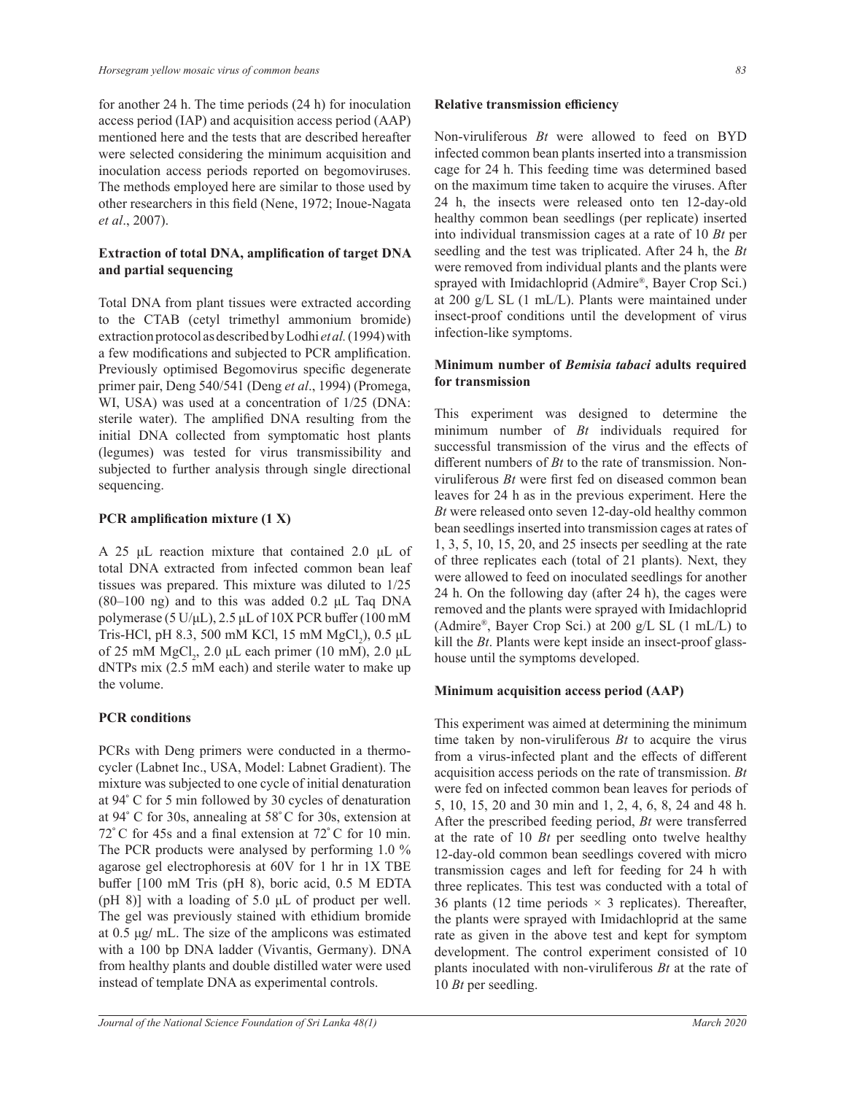for another 24 h. The time periods (24 h) for inoculation access period (IAP) and acquisition access period (AAP) mentioned here and the tests that are described hereafter were selected considering the minimum acquisition and inoculation access periods reported on begomoviruses. The methods employed here are similar to those used by other researchers in this field (Nene, 1972; Inoue-Nagata *et al*., 2007).

# **Extraction of total DNA, amplification of target DNA** and partial sequencing

Total DNA from plant tissues were extracted according to the CTAB (cetyl trimethyl ammonium bromide) extraction protocol as described by Lodhi *et al.* (1994) with a few modifications and subjected to PCR amplification. Previously optimised Begomovirus specific degenerate primer pair, Deng 540/541 (Deng *et al*., 1994) (Promega, WI, USA) was used at a concentration of 1/25 (DNA: sterile water). The amplified DNA resulting from the initial DNA collected from symptomatic host plants (legumes) was tested for virus transmissibility and subjected to further analysis through single directional sequencing.

## **PCR** amplification mixture (1 X)

A 25  $\mu$ L reaction mixture that contained 2.0  $\mu$ L of total DNA extracted from infected common bean leaf tissues was prepared. This mixture was diluted to 1/25  $(80-100)$  ng) and to this was added 0.2 µL Taq DNA polymerase (5 U/ $\mu$ L), 2.5  $\mu$ L of 10X PCR buffer (100 mM Tris-HCl, pH 8.3, 500 mM KCl, 15 mM  $MgCl_2$ ), 0.5 µL of 25 mM  $MgCl_2$ , 2.0 µL each primer (10 mM), 2.0 µL dNTPs mix (2.5 mM each) and sterile water to make up the volume.

# **PCR conditions**

PCRs with Deng primers were conducted in a thermocycler (Labnet Inc., USA, Model: Labnet Gradient). The mixture was subjected to one cycle of initial denaturation at 94**°** C for 5 min followed by 30 cycles of denaturation at 94**°** C for 30s, annealing at 58**°** C for 30s, extension at 72<sup>°</sup> C for 45s and a final extension at 72<sup>°</sup> C for 10 min. The PCR products were analysed by performing 1.0 % agarose gel electrophoresis at 60V for 1 hr in 1X TBE buffer [100 mM Tris (pH 8), boric acid, 0.5 M EDTA (pH 8)] with a loading of 5.0  $\mu$ L of product per well. The gel was previously stained with ethidium bromide at  $0.5 \mu g$ / mL. The size of the amplicons was estimated with a 100 bp DNA ladder (Vivantis, Germany). DNA from healthy plants and double distilled water were used instead of template DNA as experimental controls.

#### **Relative transmission efficiency**

Non-viruliferous *Bt* were allowed to feed on BYD infected common bean plants inserted into a transmission cage for 24 h. This feeding time was determined based on the maximum time taken to acquire the viruses. After 24 h, the insects were released onto ten 12-day-old healthy common bean seedlings (per replicate) inserted into individual transmission cages at a rate of 10 *Bt* per seedling and the test was triplicated. After 24 h, the *Bt* were removed from individual plants and the plants were sprayed with Imidachloprid (Admire® , Bayer Crop Sci.) at 200 g/L SL (1 mL/L). Plants were maintained under insect-proof conditions until the development of virus infection-like symptoms.

## **Minimum number of Bemisia tabaci adults required for transmission**

This experiment was designed to determine the minimum number of *Bt* individuals required for successful transmission of the virus and the effects of different numbers of  $Bt$  to the rate of transmission. Nonviruliferous  $Bt$  were first fed on diseased common bean leaves for 24 h as in the previous experiment. Here the *Bt* were released onto seven 12-day-old healthy common bean seedlings inserted into transmission cages at rates of 1, 3, 5, 10, 15, 20, and 25 insects per seedling at the rate of three replicates each (total of 21 plants). Next, they were allowed to feed on inoculated seedlings for another 24 h. On the following day (after 24 h), the cages were removed and the plants were sprayed with Imidachloprid (Admire® , Bayer Crop Sci.) at 200 g/L SL (1 mL/L) to kill the *Bt*. Plants were kept inside an insect-proof glasshouse until the symptoms developed.

## **Minimum acquisition access period (AAP)**

This experiment was aimed at determining the minimum time taken by non-viruliferous *Bt* to acquire the virus from a virus-infected plant and the effects of different acquisition access periods on the rate of transmission. *Bt* were fed on infected common bean leaves for periods of 5, 10, 15, 20 and 30 min and 1, 2, 4, 6, 8, 24 and 48 h. After the prescribed feeding period, *Bt* were transferred at the rate of 10 *Bt* per seedling onto twelve healthy 12-day-old common bean seedlings covered with micro transmission cages and left for feeding for 24 h with three replicates. This test was conducted with a total of 36 plants (12 time periods  $\times$  3 replicates). Thereafter, the plants were sprayed with Imidachloprid at the same rate as given in the above test and kept for symptom development. The control experiment consisted of 10 plants inoculated with non-viruliferous *Bt* at the rate of 10 *Bt* per seedling.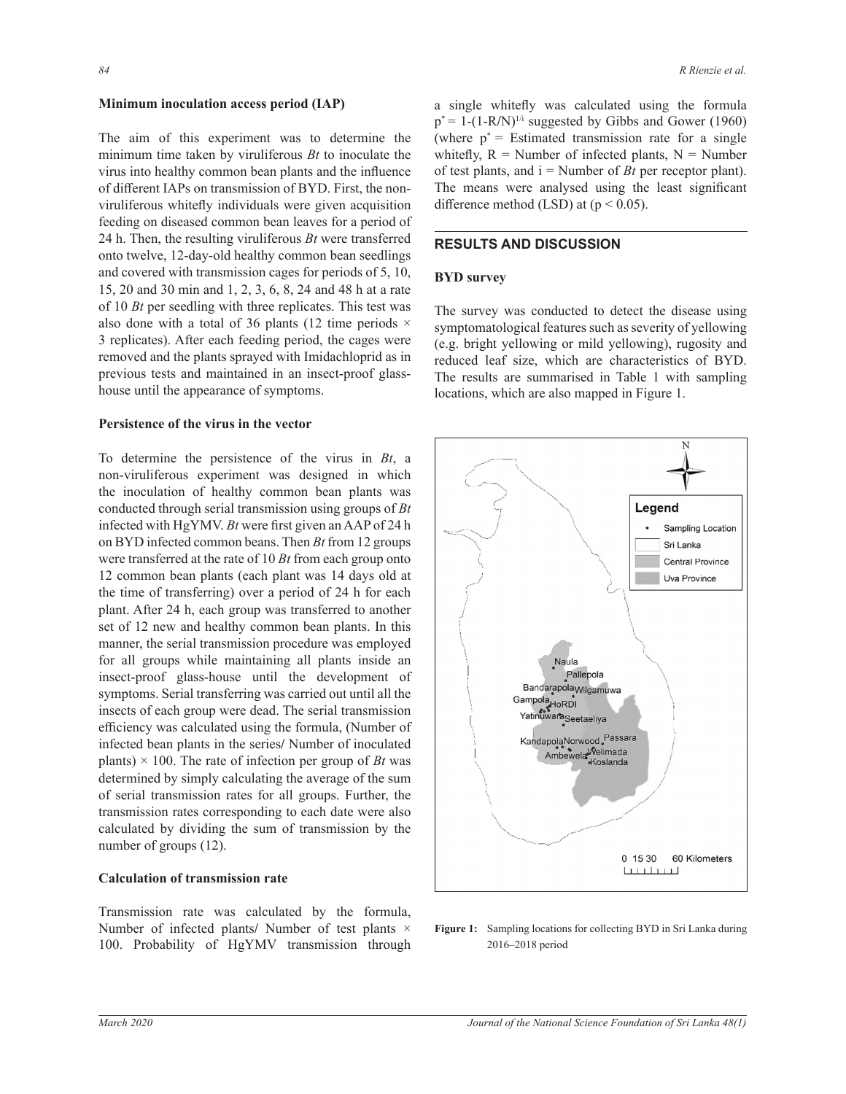#### **Minimum inoculation access period (IAP)**

The aim of this experiment was to determine the minimum time taken by viruliferous *Bt* to inoculate the virus into healthy common bean plants and the influence of different IAPs on transmission of BYD. First, the nonviruliferous whitefly individuals were given acquisition feeding on diseased common bean leaves for a period of 24 h. Then, the resulting viruliferous *Bt* were transferred onto twelve, 12-day-old healthy common bean seedlings and covered with transmission cages for periods of 5, 10, 15, 20 and 30 min and 1, 2, 3, 6, 8, 24 and 48 h at a rate of 10 *Bt* per seedling with three replicates. This test was also done with a total of 36 plants (12 time periods  $\times$ 3 replicates). After each feeding period, the cages were removed and the plants sprayed with Imidachloprid as in previous tests and maintained in an insect-proof glasshouse until the appearance of symptoms.

### **Persistence of the virus in the vector**

To determine the persistence of the virus in *Bt*, a non-viruliferous experiment was designed in which the inoculation of healthy common bean plants was conducted through serial transmission using groups of *Bt* infected with HgYMV. *Bt* were first given an AAP of 24 h on BYD infected common beans. Then *Bt* from 12 groups were transferred at the rate of 10 *Bt* from each group onto 12 common bean plants (each plant was 14 days old at the time of transferring) over a period of 24 h for each plant. After 24 h, each group was transferred to another set of 12 new and healthy common bean plants. In this manner, the serial transmission procedure was employed for all groups while maintaining all plants inside an insect-proof glass-house until the development of symptoms. Serial transferring was carried out until all the insects of each group were dead. The serial transmission efficiency was calculated using the formula, (Number of infected bean plants in the series**/** Number of inoculated plants)  $\times$  100. The rate of infection per group of *Bt* was determined by simply calculating the average of the sum of serial transmission rates for all groups. Further, the transmission rates corresponding to each date were also calculated by dividing the sum of transmission by the number of groups (12).

## **Calculation of transmission rate**

Transmission rate was calculated by the formula, Number of infected plants**/** Number of test plants × 100. Probability of HgYMV transmission through

a single whitefly was calculated using the formula  $p^* = 1-(1-R/N)^{1/i}$  suggested by Gibbs and Gower (1960) (where  $p^*$  = Estimated transmission rate for a single whitefly,  $R =$  Number of infected plants,  $N =$  Number of test plants, and  $i =$  Number of *Bt* per receptor plant). The means were analysed using the least significant difference method (LSD) at  $(p < 0.05)$ .

## **RESULTS AND DISCUSSION**

### **BYD** survey

The survey was conducted to detect the disease using symptomatological features such as severity of yellowing (e.g. bright yellowing or mild yellowing), rugosity and reduced leaf size, which are characteristics of BYD. The results are summarised in Table 1 with sampling locations, which are also mapped in Figure 1.



Figure 1: Sampling locations for collecting BYD in Sri Lanka during 2016–2018 period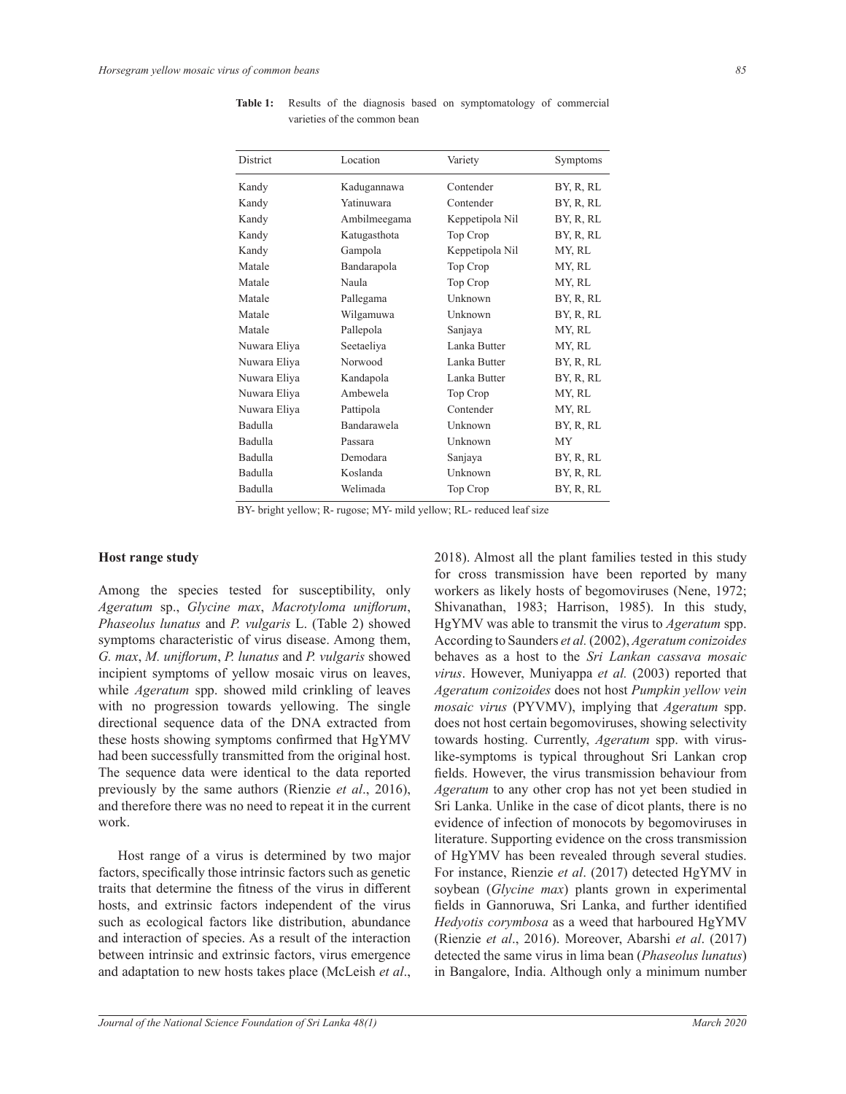| District     | Location     | Variety         | Symptoms  |
|--------------|--------------|-----------------|-----------|
| Kandy        | Kadugannawa  | Contender       | BY, R, RL |
| Kandy        | Yatinuwara   | Contender       | BY, R, RL |
| Kandy        | Ambilmeegama | Keppetipola Nil | BY, R, RL |
| Kandy        | Katugasthota | Top Crop        | BY, R, RL |
| Kandy        | Gampola      | Keppetipola Nil | MY, RL    |
| Matale       | Bandarapola  | Top Crop        | MY, RL    |
| Matale       | Naula        | Top Crop        | MY, RL    |
| Matale       | Pallegama    | Unknown         | BY, R, RL |
| Matale       | Wilgamuwa    | Unknown         | BY, R, RL |
| Matale       | Pallepola    | Sanjaya         | MY, RL    |
| Nuwara Eliya | Seetaeliya   | Lanka Butter    | MY, RL    |
| Nuwara Eliya | Norwood      | Lanka Butter    | BY, R, RL |
| Nuwara Eliya | Kandapola    | Lanka Butter    | BY, R, RL |
| Nuwara Eliya | Ambewela     | Top Crop        | MY, RL    |
| Nuwara Eliya | Pattipola    | Contender       | MY, RL    |
| Badulla      | Bandarawela  | Unknown         | BY, R, RL |
| Badulla      | Passara      | Unknown         | MY        |
| Badulla      | Demodara     | Sanjaya         | BY, R, RL |
| Badulla      | Koslanda     | Unknown         | BY, R, RL |
| Badulla      | Welimada     | Top Crop        | BY, R, RL |

Table 1: Results of the diagnosis based on symptomatology of commercial varieties of the common bean

BY- bright yellow; R- rugose; MY- mild yellow; RL- reduced leaf size

## **Host range study**

Among the species tested for susceptibility, only  $A$ geratum sp., *Glycine max*, *Macrotyloma uniflorum*, *Phaseolus lunatus* and *P. vulgaris* L. (Table 2) showed symptoms characteristic of virus disease. Among them, *G. max, M. uniflorum, P. lunatus and P. vulgaris* showed incipient symptoms of yellow mosaic virus on leaves, while *Ageratum* spp. showed mild crinkling of leaves with no progression towards yellowing. The single directional sequence data of the DNA extracted from these hosts showing symptoms confirmed that HgYMV had been successfully transmitted from the original host. The sequence data were identical to the data reported previously by the same authors (Rienzie *et al*., 2016), and therefore there was no need to repeat it in the current work.

 Host range of a virus is determined by two major factors, specifically those intrinsic factors such as genetic traits that determine the fitness of the virus in different hosts, and extrinsic factors independent of the virus such as ecological factors like distribution, abundance and interaction of species. As a result of the interaction between intrinsic and extrinsic factors, virus emergence and adaptation to new hosts takes place (McLeish *et al*., 2018). Almost all the plant families tested in this study for cross transmission have been reported by many workers as likely hosts of begomoviruses (Nene, 1972; Shivanathan, 1983; Harrison, 1985). In this study, HgYMV was able to transmit the virus to *Ageratum* spp. According to Saunders *et al.* (2002), *Ageratum conizoides* behaves as a host to the *Sri Lankan cassava mosaic virus*. However, Muniyappa *et al.* (2003) reported that *Ageratum conizoides* does not host *Pumpkin yellow vein mosaic virus* (PYVMV), implying that *Ageratum* spp. does not host certain begomoviruses, showing selectivity towards hosting. Currently, *Ageratum* spp. with viruslike-symptoms is typical throughout Sri Lankan crop fields. However, the virus transmission behaviour from *Ageratum* to any other crop has not yet been studied in Sri Lanka. Unlike in the case of dicot plants, there is no evidence of infection of monocots by begomoviruses in literature. Supporting evidence on the cross transmission of HgYMV has been revealed through several studies. For instance, Rienzie *et al*. (2017) detected HgYMV in soybean (*Glycine max*) plants grown in experimental fields in Gannoruwa, Sri Lanka, and further identified *Hedyotis corymbosa* as a weed that harboured HgYMV (Rienzie *et al*., 2016). Moreover, Abarshi *et al*. (2017) detected the same virus in lima bean (*Phaseolus lunatus*) in Bangalore, India. Although only a minimum number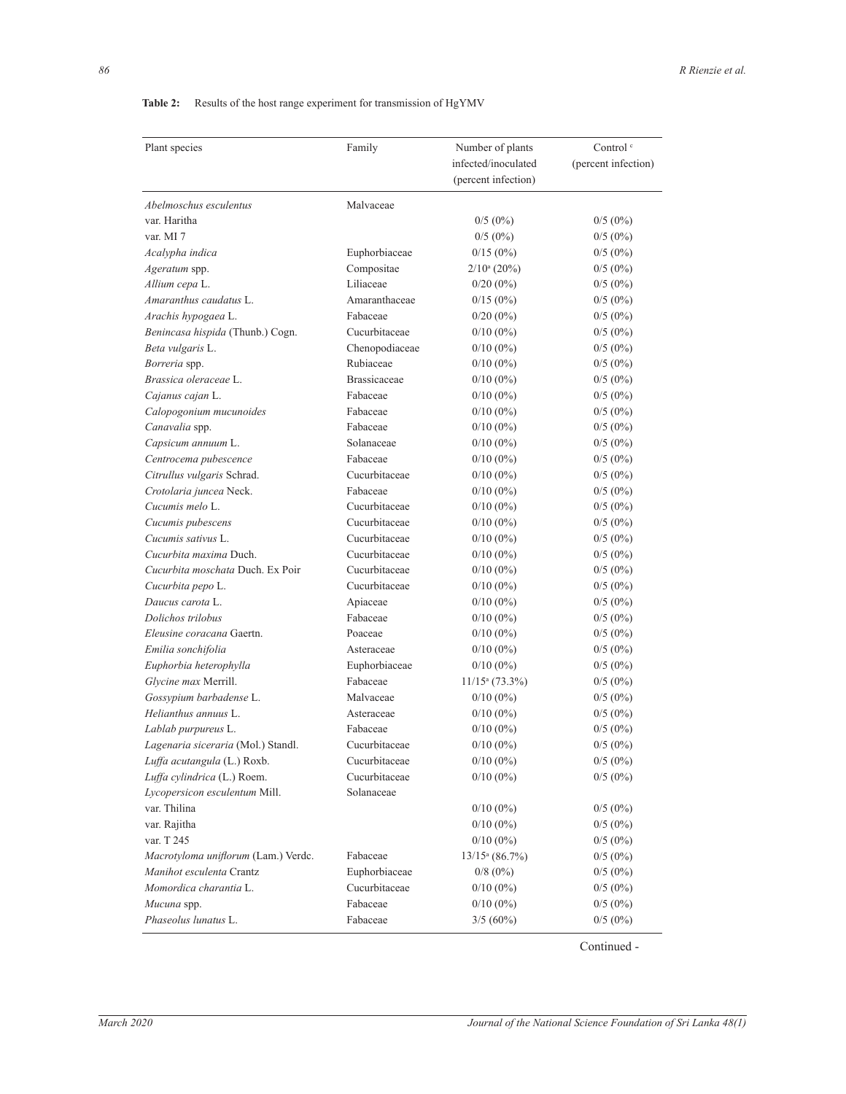# Table 2: Results of the host range experiment for transmission of HgYMV

| Plant species                       | Family              | Number of plants    | Control <sup>c</sup> |
|-------------------------------------|---------------------|---------------------|----------------------|
|                                     |                     | infected/inoculated | (percent infection)  |
|                                     |                     | (percent infection) |                      |
|                                     |                     |                     |                      |
| Abelmoschus esculentus              | Malvaceae           |                     |                      |
| var. Haritha                        |                     | $0/5(0\%)$          | $0/5(0\%)$           |
| var. MI 7                           |                     | $0/5(0\%)$          | $0/5(0\%)$           |
| Acalypha indica                     | Euphorbiaceae       | $0/15(0\%)$         | $0/5(0\%)$           |
| Ageratum spp.                       | Compositae          | $2/10^a (20\%)$     | $0/5(0\%)$           |
| Allium cepa L.                      | Liliaceae           | $0/20(0\%)$         | $0/5(0\%)$           |
| Amaranthus caudatus L.              | Amaranthaceae       | $0/15(0\%)$         | $0/5(0\%)$           |
| Arachis hypogaea L.                 | Fabaceae            | $0/20(0\%)$         | $0/5(0\%)$           |
| Benincasa hispida (Thunb.) Cogn.    | Cucurbitaceae       | $0/10(0\%)$         | $0/5(0\%)$           |
| Beta vulgaris L.                    | Chenopodiaceae      | $0/10(0\%)$         | $0/5(0\%)$           |
| Borreria spp.                       | Rubiaceae           | $0/10(0\%)$         | $0/5(0\%)$           |
| Brassica oleraceae L.               | <b>Brassicaceae</b> | $0/10(0\%)$         | $0/5(0\%)$           |
| Cajanus cajan L.                    | Fabaceae            | $0/10(0\%)$         | $0/5(0\%)$           |
| Calopogonium mucunoides             | Fabaceae            | $0/10(0\%)$         | $0/5(0\%)$           |
| Canavalia spp.                      | Fabaceae            | $0/10(0\%)$         | $0/5(0\%)$           |
| Capsicum annuum L.                  | Solanaceae          | $0/10(0\%)$         | $0/5(0\%)$           |
| Centrocema pubescence               | Fabaceae            | $0/10(0\%)$         | $0/5(0\%)$           |
| Citrullus vulgaris Schrad.          | Cucurbitaceae       | $0/10(0\%)$         | $0/5(0\%)$           |
| Crotolaria juncea Neck.             | Fabaceae            | $0/10(0\%)$         | $0/5(0\%)$           |
| Cucumis melo L.                     | Cucurbitaceae       | $0/10(0\%)$         | $0/5(0\%)$           |
| Cucumis pubescens                   | Cucurbitaceae       | $0/10(0\%)$         | $0/5(0\%)$           |
| Cucumis sativus L.                  | Cucurbitaceae       | $0/10(0\%)$         | $0/5(0\%)$           |
| Cucurbita maxima Duch.              | Cucurbitaceae       | $0/10(0\%)$         | $0/5(0\%)$           |
| Cucurbita moschata Duch. Ex Poir    | Cucurbitaceae       | $0/10(0\%)$         | $0/5(0\%)$           |
| Cucurbita pepo L.                   | Cucurbitaceae       | $0/10(0\%)$         | $0/5(0\%)$           |
| Daucus carota L.                    | Apiaceae            | $0/10(0\%)$         | $0/5(0\%)$           |
| Dolichos trilobus                   | Fabaceae            | $0/10(0\%)$         | $0/5(0\%)$           |
| Eleusine coracana Gaertn.           | Poaceae             | $0/10(0\%)$         | $0/5(0\%)$           |
| Emilia sonchifolia                  | Asteraceae          | $0/10(0\%)$         | $0/5(0\%)$           |
| Euphorbia heterophylla              | Euphorbiaceae       | $0/10(0\%)$         | $0/5(0\%)$           |
| Glycine max Merrill.                | Fabaceae            | $11/15a$ (73.3%)    | $0/5(0\%)$           |
| Gossypium barbadense L.             | Malvaceae           | $0/10(0\%)$         | $0/5(0\%)$           |
| Helianthus annuus L.                | Asteraceae          | $0/10(0\%)$         | $0/5(0\%)$           |
| Lablab purpureus L.                 | Fabaceae            | $0/10(0\%)$         | $0/5(0\%)$           |
| Lagenaria siceraria (Mol.) Standl.  | Cucurbitaceae       | $0/10(0\%)$         | $0/5(0\%)$           |
| Luffa acutangula (L.) Roxb.         | Cucurbitaceae       | $0/10(0\%)$         | $0/5(0\%)$           |
| Luffa cylindrica (L.) Roem.         | Cucurbitaceae       | $0/10(0\%)$         | $0/5(0\%)$           |
| Lycopersicon esculentum Mill.       | Solanaceae          |                     |                      |
| var. Thilina                        |                     | $0/10(0\%)$         | $0/5(0\%)$           |
| var. Rajitha                        |                     | $0/10(0\%)$         | $0/5(0\%)$           |
| var. T 245                          |                     | $0/10(0\%)$         | $0/5(0\%)$           |
| Macrotyloma uniflorum (Lam.) Verdc. | Fabaceae            | $13/15^a (86.7%)$   | $0/5(0\%)$           |
| Manihot esculenta Crantz            | Euphorbiaceae       | $0/8$ (0%)          | $0/5(0\%)$           |
| Momordica charantia L.              | Cucurbitaceae       | $0/10(0\%)$         | $0/5(0\%)$           |
| Mucuna spp.                         | Fabaceae            | $0/10(0\%)$         | $0/5(0\%)$           |
| Phaseolus lunatus L.                | Fabaceae            | $3/5(60\%)$         | $0/5(0\%)$           |
|                                     |                     |                     |                      |

Continued -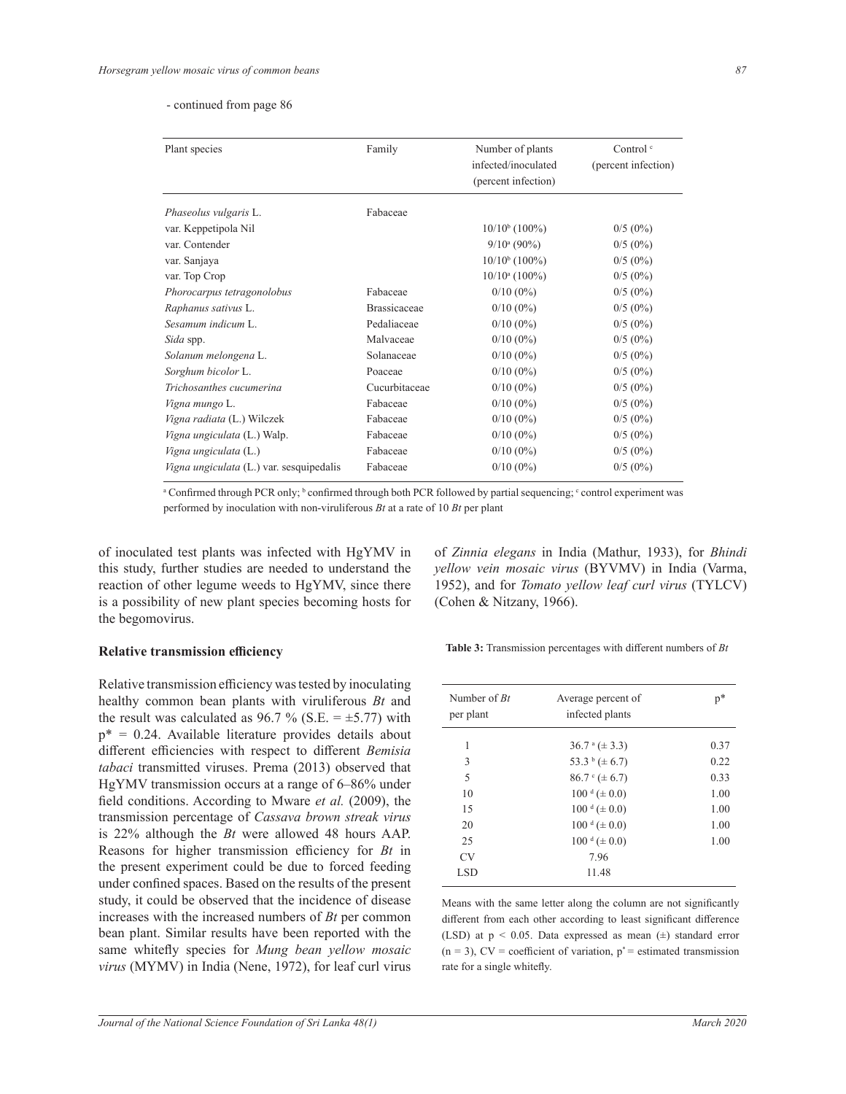#### - continued from page 86

| Plant species                            | Family              | Number of plants    | Control $\circ$     |  |  |
|------------------------------------------|---------------------|---------------------|---------------------|--|--|
|                                          |                     | infected/inoculated | (percent infection) |  |  |
|                                          |                     | (percent infection) |                     |  |  |
| Phaseolus vulgaris L.                    | Fabaceae            |                     |                     |  |  |
| var. Keppetipola Nil                     |                     | $10/10^{b}$ (100%)  | $0/5(0\%)$          |  |  |
| var. Contender                           |                     | $9/10^a (90\%)$     | $0/5(0\%)$          |  |  |
| var. Sanjaya                             |                     | $10/10^{b}$ (100%)  | $0/5(0\%)$          |  |  |
| var. Top Crop                            |                     | $10/10^a$ (100%)    | $0/5(0\%)$          |  |  |
| Phorocarpus tetragonolobus               | Fabaceae            | $0/10(0\%)$         | $0/5(0\%)$          |  |  |
| Raphanus sativus L.                      | <b>Brassicaceae</b> | $0/10(0\%)$         | $0/5(0\%)$          |  |  |
| Sesamum indicum L.                       | Pedaliaceae         | $0/10(0\%)$         | $0/5(0\%)$          |  |  |
| Sida spp.                                | Malvaceae           | $0/10(0\%)$         | $0/5(0\%)$          |  |  |
| Solanum melongena L.                     | Solanaceae          | $0/10(0\%)$         | $0/5(0\%)$          |  |  |
| Sorghum bicolor L.                       | Poaceae             | $0/10(0\%)$         | $0/5(0\%)$          |  |  |
| Trichosanthes cucumerina                 | Cucurbitaceae       | $0/10(0\%)$         | $0/5(0\%)$          |  |  |
| Vigna mungo L.                           | Fabaceae            | $0/10(0\%)$         | $0/5(0\%)$          |  |  |
| Vigna radiata (L.) Wilczek               | Fabaceae            | $0/10(0\%)$         | $0/5(0\%)$          |  |  |
| Vigna ungiculata (L.) Walp.              | Fabaceae            | $0/10(0\%)$         | $0/5(0\%)$          |  |  |
| Vigna ungiculata (L.)                    | Fabaceae            | $0/10(0\%)$         | $0/5(0\%)$          |  |  |
| Vigna ungiculata (L.) var. sesquipedalis | Fabaceae            | $0/10(0\%)$         | $0/5(0\%)$          |  |  |

<sup>a</sup> Confirmed through PCR only; <sup>b</sup> confirmed through both PCR followed by partial sequencing; <sup>c</sup> control experiment was

performed by inoculation with non-viruliferous *Bt* at a rate of 10 *Bt* per plant

of inoculated test plants was infected with HgYMV in this study, further studies are needed to understand the reaction of other legume weeds to HgYMV, since there is a possibility of new plant species becoming hosts for the begomovirus.

#### **Relative transmission efficiency**

Relative transmission efficiency was tested by inoculating healthy common bean plants with viruliferous *Bt* and the result was calculated as 96.7 % (S.E.  $= \pm 5.77$ ) with  $p^* = 0.24$ . Available literature provides details about different efficiencies with respect to different *Bemisia tabaci* transmitted viruses. Prema (2013) observed that HgYMV transmission occurs at a range of 6–86% under field conditions. According to Mware et al. (2009), the transmission percentage of *Cassava brown streak virus* is 22% although the *Bt* were allowed 48 hours AAP. Reasons for higher transmission efficiency for *Bt* in the present experiment could be due to forced feeding under confined spaces. Based on the results of the present study, it could be observed that the incidence of disease increases with the increased numbers of *Bt* per common bean plant. Similar results have been reported with the same whitefly species for Mung bean yellow mosaic *virus* (MYMV) in India (Nene, 1972), for leaf curl virus

of *Zinnia elegans* in India (Mathur, 1933), for *Bhindi yellow vein mosaic virus* (BYVMV) in India (Varma, 1952), and for *Tomato yellow leaf curl virus* (TYLCV) (Cohen & Nitzany, 1966).

Table 3: Transmission percentages with different numbers of Bt

| Number of $Rt$<br>per plant | Average percent of<br>infected plants | $p^*$ |
|-----------------------------|---------------------------------------|-------|
| 1                           | $36.7^{\circ} (\pm 3.3)$              | 0.37  |
| 3                           | 53.3 b $(\pm 6.7)$                    | 0.22  |
| 5                           | $86.7^{\circ} (\pm 6.7)$              | 0.33  |
| 10                          | $100 \text{ d } (\pm 0.0)$            | 1.00  |
| 15                          | $100 \text{ d } (\pm 0.0)$            | 1.00  |
| 20                          | $100^{\text{ d}} (\pm 0.0)$           | 1.00  |
| 25                          | $100^{\text{ d}} (\pm 0.0)$           | 1.00  |
| CV <sub></sub>              | 7.96                                  |       |
| LSD                         | 11.48                                 |       |

Means with the same letter along the column are not significantly different from each other according to least significant difference (LSD) at p < 0.05. Data expressed as mean (±) standard error  $(n = 3)$ , CV = coefficient of variation,  $p^*$  = estimated transmission rate for a single whitefly.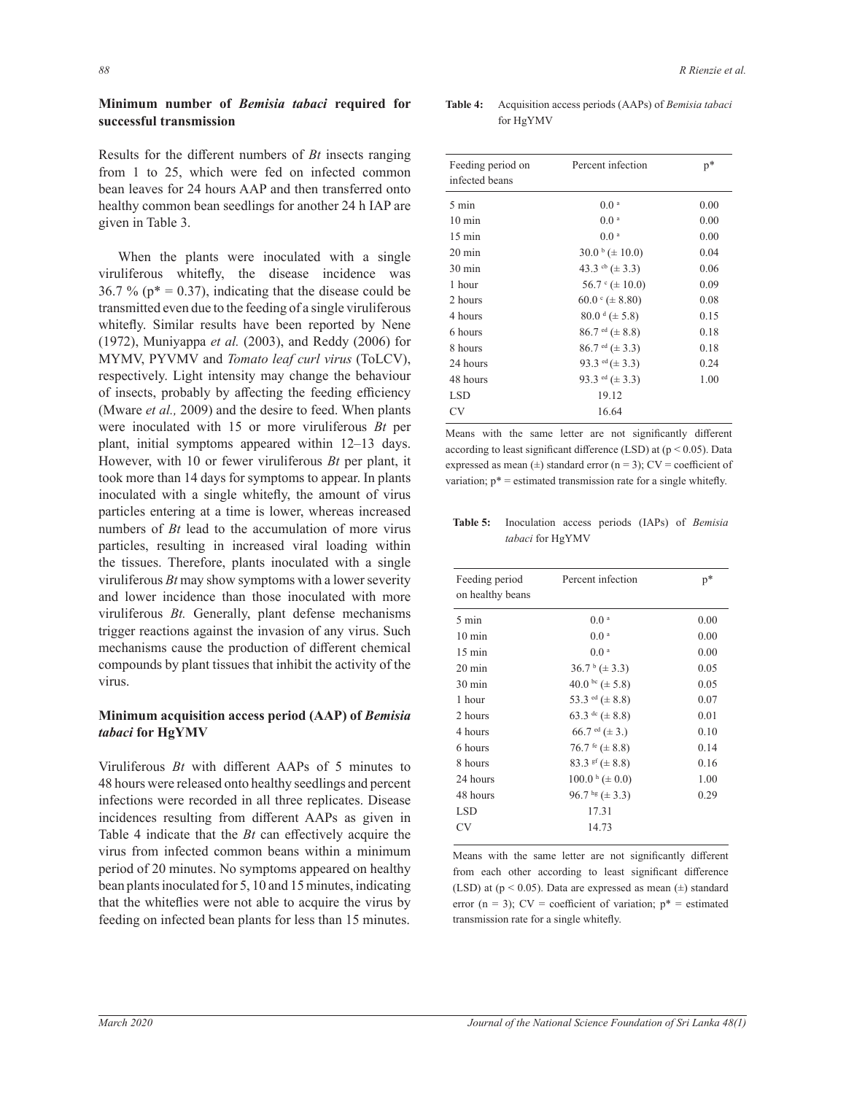# **Minimum number of Bemisia tabaci required for successful transmission**

Results for the different numbers of  $Bt$  insects ranging from 1 to 25, which were fed on infected common bean leaves for 24 hours AAP and then transferred onto healthy common bean seedlings for another 24 h IAP are given in Table 3.

 When the plants were inoculated with a single viruliferous whitefly, the disease incidence was 36.7 % ( $p^* = 0.37$ ), indicating that the disease could be transmitted even due to the feeding of a single viruliferous whitefly. Similar results have been reported by Nene (1972), Muniyappa *et al.* (2003), and Reddy (2006) for MYMV, PYVMV and *Tomato leaf curl virus* (ToLCV), respectively. Light intensity may change the behaviour of insects, probably by affecting the feeding efficiency (Mware *et al.,* 2009) and the desire to feed. When plants were inoculated with 15 or more viruliferous *Bt* per plant, initial symptoms appeared within 12–13 days. However, with 10 or fewer viruliferous *Bt* per plant, it took more than 14 days for symptoms to appear. In plants inoculated with a single whitefly, the amount of virus particles entering at a time is lower, whereas increased numbers of *Bt* lead to the accumulation of more virus particles, resulting in increased viral loading within the tissues. Therefore, plants inoculated with a single viruliferous *Bt* may show symptoms with a lower severity and lower incidence than those inoculated with more viruliferous *Bt.* Generally, plant defense mechanisms trigger reactions against the invasion of any virus. Such mechanisms cause the production of different chemical compounds by plant tissues that inhibit the activity of the virus.

# **Minimum acquisition access period (AAP) of Bemisia** *tabaci* **for HgYMV**

Viruliferous  $Bt$  with different AAPs of 5 minutes to 48 hours were released onto healthy seedlings and percent infections were recorded in all three replicates. Disease incidences resulting from different AAPs as given in Table 4 indicate that the  $Bt$  can effectively acquire the virus from infected common beans within a minimum period of 20 minutes. No symptoms appeared on healthy bean plants inoculated for 5, 10 and 15 minutes, indicating that the whiteflies were not able to acquire the virus by feeding on infected bean plants for less than 15 minutes.

Table 4: Acquisition access periods (AAPs) of *Bemisia tabaci* for HgYMV

| Feeding period on<br>infected beans | Percent infection                    | $p^*$ |
|-------------------------------------|--------------------------------------|-------|
| 5 min                               | 0.0 <sup>a</sup>                     | 0.00  |
| $10 \text{ min}$                    | 0.0 <sup>a</sup>                     | 0.00  |
| $15 \text{ min}$                    | 0.0 <sup>a</sup>                     | 0.00  |
| $20 \text{ min}$                    | $30.0 \text{ b} (\pm 10.0)$          | 0.04  |
| $30 \text{ min}$                    | 43.3 cb $(\pm 3.3)$                  | 0.06  |
| 1 hour                              | $56.7 \cdot (\pm 10.0)$              | 0.09  |
| 2 hours                             | $60.0 \text{°} (\pm 8.80)$           | 0.08  |
| 4 hours                             | $80.0 \text{ }^{\text{d}} (\pm 5.8)$ | 0.15  |
| 6 hours                             | $86.7$ <sup>ed</sup> ( $\pm 8.8$ )   | 0.18  |
| 8 hours                             | $86.7$ <sup>ed</sup> ( $\pm$ 3.3)    | 0.18  |
| 24 hours                            | 93.3 <sup>ed</sup> ( $\pm$ 3.3)      | 0.24  |
| 48 hours                            | 93.3 <sup>ed</sup> ( $\pm$ 3.3)      | 1.00  |
| LSD.                                | 19.12                                |       |
| CV                                  | 16.64                                |       |

Means with the same letter are not significantly different according to least significant difference (LSD) at  $(p < 0.05)$ . Data expressed as mean  $(\pm)$  standard error (n = 3); CV = coefficient of variation;  $p^*$  = estimated transmission rate for a single whitefly.

Table 5: Inoculation access periods (IAPs) of *Bemisia tabaci* for HgYMV

| Feeding period<br>on healthy beans | Percent infection               | $\mathbf{p}^*$ |  |
|------------------------------------|---------------------------------|----------------|--|
| $5 \text{ min}$                    | 0.0 <sup>a</sup>                | 0.00           |  |
| $10 \text{ min}$                   | 0.0 <sup>a</sup>                | 0.00           |  |
| $15 \text{ min}$                   | 0.0 <sup>a</sup>                | 0.00           |  |
| $20 \text{ min}$                   | $36.7^{\mathrm{b}} (\pm 3.3)$   | 0.05           |  |
| $30 \text{ min}$                   | 40.0 bc ( $\pm$ 5.8)            | 0.05           |  |
| 1 hour                             | 53.3 <sup>ed</sup> ( $\pm$ 8.8) | 0.07           |  |
| 2 hours                            | 63.3 dc ( $\pm$ 8.8)            | 0.01           |  |
| 4 hours                            | 66.7 <sup>ed</sup> ( $\pm$ 3.)  | 0.10           |  |
| 6 hours                            | 76.7 fe $(\pm 8.8)$             | 0.14           |  |
| 8 hours                            | 83.3 sf ( $\pm$ 8.8)            | 0.16           |  |
| 24 hours                           | $100.0 \text{ h} (\pm 0.0)$     | 1.00           |  |
| 48 hours                           | 96.7 hg $(\pm 3.3)$             | 0.29           |  |
| LSD <sub>1</sub>                   | 17.31                           |                |  |
| CV                                 | 14.73                           |                |  |

Means with the same letter are not significantly different from each other according to least significant difference (LSD) at (p < 0.05). Data are expressed as mean (±) standard error (n = 3);  $CV = coefficient$  of variation;  $p^* = estimated$ transmission rate for a single whitefly.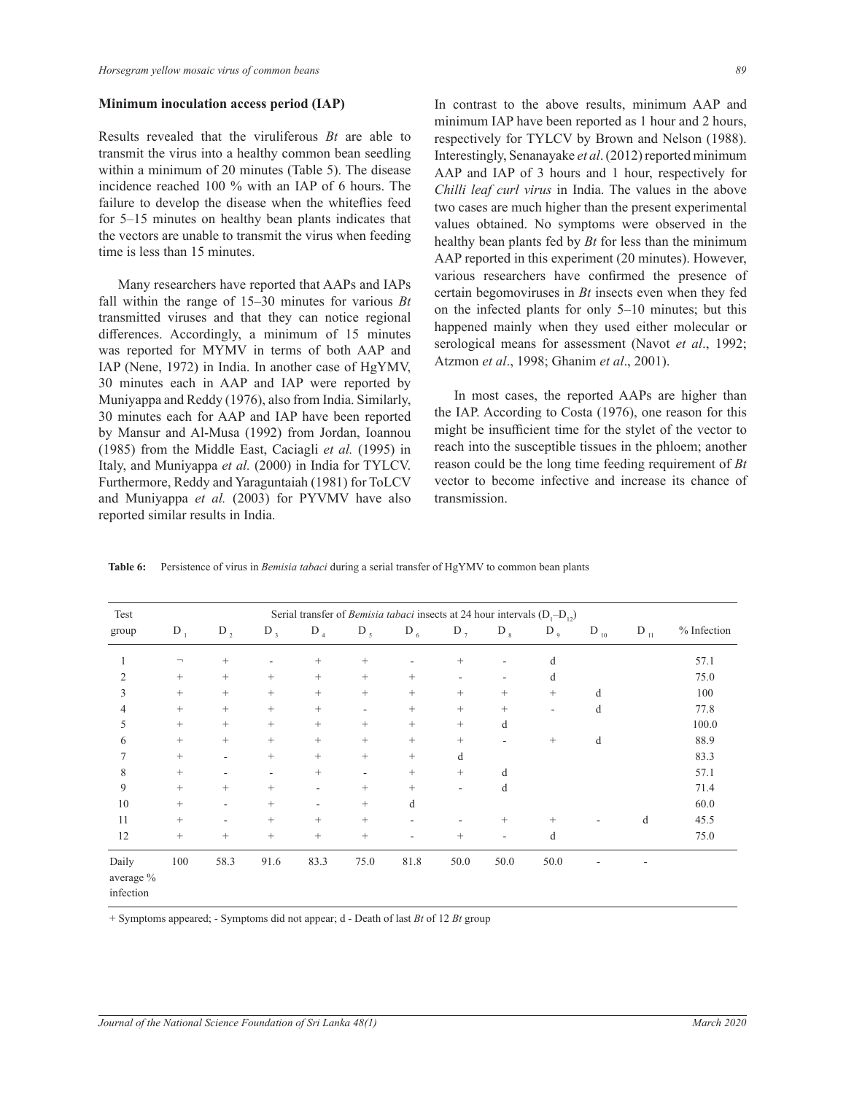#### **Minimum inoculation access period (IAP)**

Results revealed that the viruliferous *Bt* are able to transmit the virus into a healthy common bean seedling within a minimum of 20 minutes (Table 5). The disease incidence reached 100 % with an IAP of 6 hours. The failure to develop the disease when the whiteflies feed for 5–15 minutes on healthy bean plants indicates that the vectors are unable to transmit the virus when feeding time is less than 15 minutes.

 Many researchers have reported that AAPs and IAPs fall within the range of 15–30 minutes for various *Bt* transmitted viruses and that they can notice regional differences. Accordingly, a minimum of 15 minutes was reported for MYMV in terms of both AAP and IAP (Nene, 1972) in India. In another case of HgYMV, 30 minutes each in AAP and IAP were reported by Muniyappa and Reddy (1976), also from India. Similarly, 30 minutes each for AAP and IAP have been reported by Mansur and Al-Musa (1992) from Jordan, Ioannou (1985) from the Middle East, Caciagli *et al.* (1995) in Italy, and Muniyappa *et al.* (2000) in India for TYLCV. Furthermore, Reddy and Yaraguntaiah (1981) for ToLCV and Muniyappa *et al.* (2003) for PYVMV have also reported similar results in India.

In contrast to the above results, minimum AAP and minimum IAP have been reported as 1 hour and 2 hours, respectively for TYLCV by Brown and Nelson (1988). Interestingly, Senanayake *et al*. (2012) reported minimum AAP and IAP of 3 hours and 1 hour, respectively for *Chilli leaf curl virus* in India. The values in the above two cases are much higher than the present experimental values obtained. No symptoms were observed in the healthy bean plants fed by *Bt* for less than the minimum AAP reported in this experiment (20 minutes). However, various researchers have confirmed the presence of certain begomoviruses in *Bt* insects even when they fed on the infected plants for only 5–10 minutes; but this happened mainly when they used either molecular or serological means for assessment (Navot *et al*., 1992; Atzmon *et al*., 1998; Ghanim *et al*., 2001).

 In most cases, the reported AAPs are higher than the IAP. According to Costa (1976), one reason for this might be insufficient time for the stylet of the vector to reach into the susceptible tissues in the phloem; another reason could be the long time feeding requirement of *Bt* vector to become infective and increase its chance of transmission.

| <b>Table 6:</b> Persistence of virus in <i>Bemisia tabaci</i> during a serial transfer of HgYMV to common bean plants |  |  |  |  |  |  |
|-----------------------------------------------------------------------------------------------------------------------|--|--|--|--|--|--|
|                                                                                                                       |  |  |  |  |  |  |

| Test                            |                              | Serial transfer of <i>Bemisia tabaci</i> insects at 24 hour intervals $(D_1-D_2)$ |                          |                   |                                  |                 |        |        |                          |           |          |             |
|---------------------------------|------------------------------|-----------------------------------------------------------------------------------|--------------------------|-------------------|----------------------------------|-----------------|--------|--------|--------------------------|-----------|----------|-------------|
| group                           | $D_1$                        | $D_2$                                                                             | $D_3$                    | $D_4$             | $D_5$                            | $D_6$           | $D_7$  | $D_8$  | $D_{9}$                  | D $_{10}$ | $D_{11}$ | % Infection |
|                                 | $\qquad \qquad \blacksquare$ | $^{+}$                                                                            | $\overline{\phantom{a}}$ | $\! + \!\!\!\!$   | $\hspace{0.1mm} +$               |                 | $^{+}$ | ٠      | d                        |           |          | 57.1        |
| 2                               | $^{+}$                       | $^{+}$                                                                            | $^{+}$                   | $\! + \!\!\!\!$   | $\begin{array}{c} + \end{array}$ | $^{+}$          |        | ٠      | d                        |           |          | 75.0        |
| 3                               | $^{+}$                       | $^{+}$                                                                            | $^{+}$                   | $\! + \!\!\!\!$   | $^{+}$                           | $^{+}$          | $^{+}$ | $^{+}$ | $^{+}$                   | d         |          | 100         |
| 4                               |                              | $^{+}$                                                                            | $\! + \!\!\!\!$          | $\qquad \qquad +$ |                                  | $\! + \!\!\!\!$ | $^{+}$ | $+$    | $\overline{\phantom{0}}$ | d         |          | 77.8        |
| 5                               |                              | $^{+}$                                                                            | $\! + \!\!\!\!$          | $\! + \!\!\!\!$   | $^{+}$                           | $^{+}$          | $^{+}$ | d      |                          |           |          | 100.0       |
| 6                               | $^{+}$                       | $^{+}$                                                                            | $\! +$                   | $^{+}$            | $^{+}$                           | $^{+}$          | $^{+}$ |        | $^{+}$                   | d         |          | 88.9        |
| 7                               | $^{+}$                       |                                                                                   | $\! +$                   | $^{+}$            | $^{+}$                           | $^{+}$          | d      |        |                          |           |          | 83.3        |
| 8                               | $\! + \!\!\!\!$              |                                                                                   | $\overline{\phantom{a}}$ | $\qquad \qquad +$ | $\overline{\phantom{a}}$         | $\! + \!\!\!\!$ | $^{+}$ | d      |                          |           |          | 57.1        |
| 9                               | $\! + \!\!\!\!$              | $^{+}$                                                                            | $\! +$                   | ٠                 | $\! + \!\!\!\!$                  | $^{+}$          | Ξ.     | d      |                          |           |          | 71.4        |
| 10                              | $^{+}$                       |                                                                                   | $\! +$                   | ۰                 | $\! + \!\!\!\!$                  | d               |        |        |                          |           |          | 60.0        |
| 11                              | $^{+}$                       |                                                                                   | $\! + \!\!\!\!$          | $\qquad \qquad +$ | $^{+}$                           |                 |        | $^{+}$ | $\hspace{0.1mm} +$       |           | d        | 45.5        |
| 12                              | $\! + \!\!\!\!$              | $^{+}$                                                                            | $^{+}$                   | $\qquad \qquad +$ | $^{+}$                           |                 | $^{+}$ | ٠      | d                        |           |          | 75.0        |
| Daily<br>average %<br>infection | 100                          | 58.3                                                                              | 91.6                     | 83.3              | 75.0                             | 81.8            | 50.0   | 50.0   | 50.0                     |           |          |             |

+ Symptoms appeared; - Symptoms did not appear; d - Death of last *Bt* of 12 *Bt* group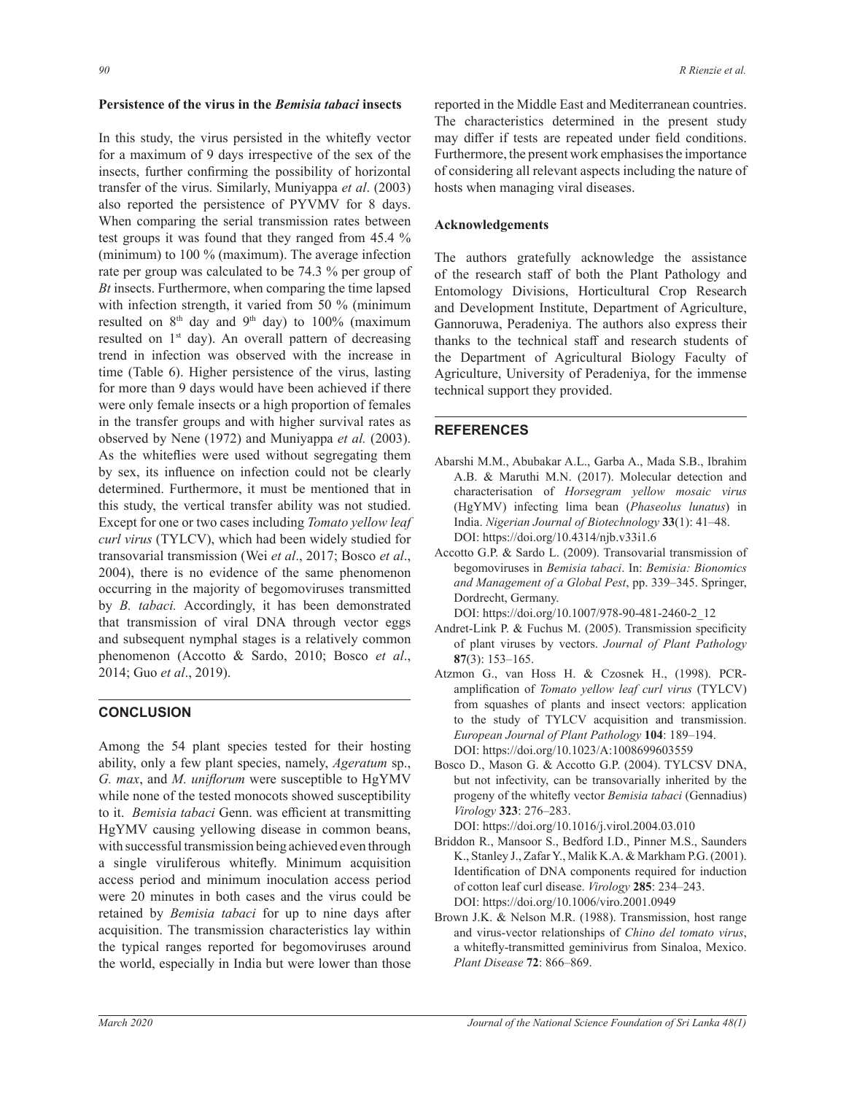#### Persistence of the virus in the *Bemisia tabaci* insects

In this study, the virus persisted in the whitefly vector for a maximum of 9 days irrespective of the sex of the insects, further confirming the possibility of horizontal transfer of the virus. Similarly, Muniyappa *et al*. (2003) also reported the persistence of PYVMV for 8 days. When comparing the serial transmission rates between test groups it was found that they ranged from 45.4 % (minimum) to 100 % (maximum). The average infection rate per group was calculated to be 74.3 % per group of *Bt* insects. Furthermore, when comparing the time lapsed with infection strength, it varied from 50 % (minimum resulted on  $8<sup>th</sup>$  day and  $9<sup>th</sup>$  day) to 100% (maximum resulted on  $1<sup>st</sup>$  day). An overall pattern of decreasing trend in infection was observed with the increase in time (Table 6). Higher persistence of the virus, lasting for more than 9 days would have been achieved if there were only female insects or a high proportion of females in the transfer groups and with higher survival rates as observed by Nene (1972) and Muniyappa *et al.* (2003). As the whiteflies were used without segregating them by sex, its influence on infection could not be clearly determined. Furthermore, it must be mentioned that in this study, the vertical transfer ability was not studied. Except for one or two cases including *Tomato yellow leaf curl virus* (TYLCV), which had been widely studied for transovarial transmission (Wei *et al*., 2017; Bosco *et al*., 2004), there is no evidence of the same phenomenon occurring in the majority of begomoviruses transmitted by *B. tabaci.* Accordingly, it has been demonstrated that transmission of viral DNA through vector eggs and subsequent nymphal stages is a relatively common phenomenon (Accotto & Sardo, 2010; Bosco *et al*., 2014; Guo *et al*., 2019).

## **CONCLUSION**

Among the 54 plant species tested for their hosting ability, only a few plant species, namely, *Ageratum* sp., *G. max, and M. uniflorum* were susceptible to HgYMV while none of the tested monocots showed susceptibility to it. *Bemisia tabaci* Genn. was efficient at transmitting HgYMV causing yellowing disease in common beans, with successful transmission being achieved even through a single viruliferous whitefly. Minimum acquisition access period and minimum inoculation access period were 20 minutes in both cases and the virus could be retained by *Bemisia tabaci* for up to nine days after acquisition. The transmission characteristics lay within the typical ranges reported for begomoviruses around the world, especially in India but were lower than those

reported in the Middle East and Mediterranean countries. The characteristics determined in the present study may differ if tests are repeated under field conditions. Furthermore, the present work emphasises the importance of considering all relevant aspects including the nature of hosts when managing viral diseases.

#### **Acknowledgements**

The authors gratefully acknowledge the assistance of the research staff of both the Plant Pathology and Entomology Divisions, Horticultural Crop Research and Development Institute, Department of Agriculture, Gannoruwa, Peradeniya. The authors also express their thanks to the technical staff and research students of the Department of Agricultural Biology Faculty of Agriculture, University of Peradeniya, for the immense technical support they provided.

#### **REFERENCES**

- Abarshi M.M., Abubakar A.L., Garba A., Mada S.B., Ibrahim A.B. & Maruthi M.N. (2017). Molecular detection and characterisation of *Horsegram yellow mosaic virus* (HgYMV) infecting lima bean (*Phaseolus lunatus*) in India. *Nigerian Journal of Biotechnology* **33**(1): 41–48. DOI: https://doi.org/10.4314/njb.v33i1.6
- Accotto G.P. & Sardo L. (2009). Transovarial transmission of begomoviruses in *Bemisia tabaci*. In: *Bemisia: Bionomics and Management of a Global Pest*, pp. 339–345. Springer, Dordrecht, Germany.
	- DOI: https://doi.org/10.1007/978-90-481-2460-2\_12
- Andret-Link P. & Fuchus M. (2005). Transmission specificity of plant viruses by vectors. *Journal of Plant Pathology* **87**(3): 153–165.
- Atzmon G., van Hoss H. & Czosnek H., (1998). PCRamplification of *Tomato yellow leaf curl virus* (TYLCV) from squashes of plants and insect vectors: application to the study of TYLCV acquisition and transmission. European Journal of Plant Pathology 104: 189-194. DOI: https://doi.org/10.1023/A:1008699603559
- Bosco D., Mason G. & Accotto G.P. (2004). TYLCSV DNA, but not infectivity, can be transovarially inherited by the progeny of the whitefly vector Bemisia tabaci (Gennadius) *Virology* **323**: 276–283.

DOI: https://doi.org/10.1016/j.virol.2004.03.010

- Briddon R., Mansoor S., Bedford I.D., Pinner M.S., Saunders K., Stanley J., Zafar Y., Malik K.A. & Markham P.G. (2001). Identification of DNA components required for induction of cotton leaf curl disease. *Virology* **285**: 234–243. DOI: https://doi.org/10.1006/viro.2001.0949
- Brown J.K. & Nelson M.R. (1988). Transmission, host range and virus-vector relationships of *Chino del tomato virus*, a whitefly-transmitted geminivirus from Sinaloa, Mexico. *Plant Disease* **72**: 866–869.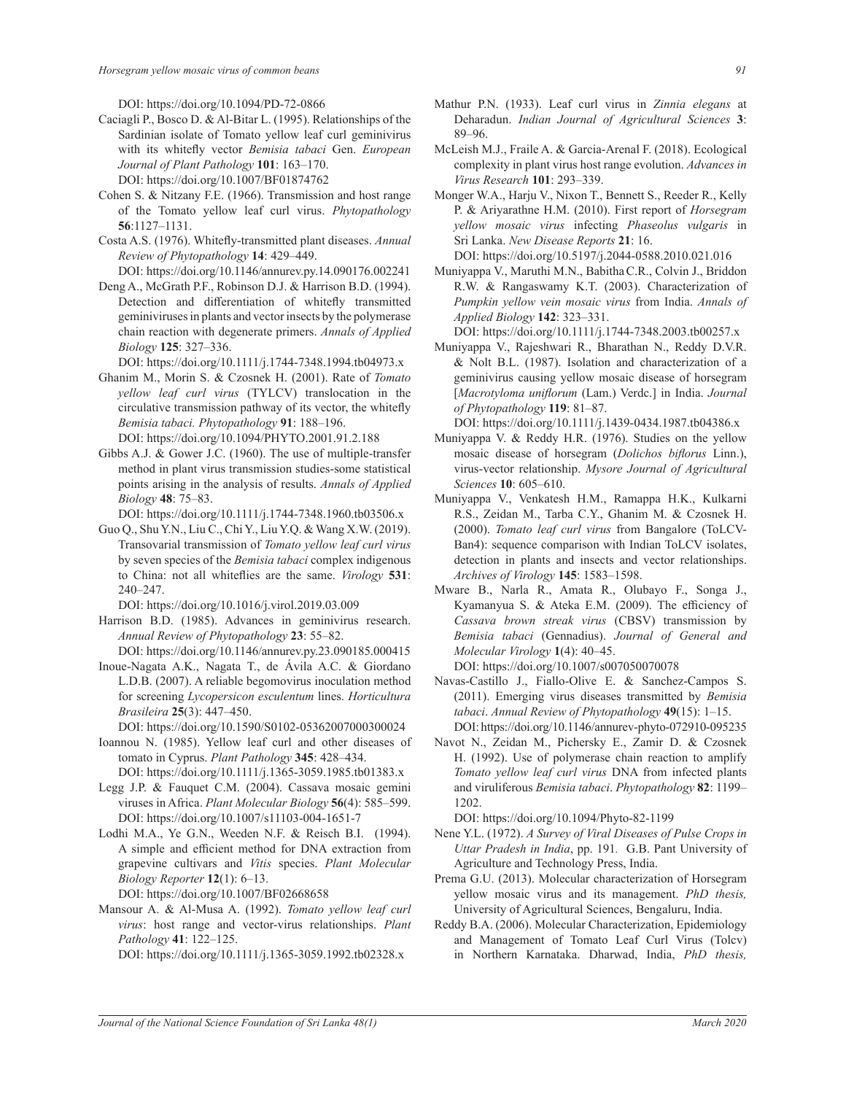DOI: https://doi.org/10.1094/PD-72-0866

Caciagli P., Bosco D. & Al-Bitar L. (1995). Relationships of the Sardinian isolate of Tomato yellow leaf curl geminivirus with its whitefly vector *Bemisia tabaci* Gen. *European* Journal of Plant Pathology 101: 163-170.

DOI: https://doi.org/10.1007/BF01874762

- Cohen S. & Nitzany F.E. (1966). Transmission and host range of the Tomato yellow leaf curl virus. *Phytopathology*  **56**:1127–1131.
- Costa A.S. (1976). Whitefly-transmitted plant diseases. Annual *Review of Phytopathology* **14**: 429–449.

 DOI: https://doi.org/10.1146/annurev.py.14.090176.002241 Deng A., McGrath P.F., Robinson D.J. & Harrison B.D. (1994).

Detection and differentiation of whitefly transmitted geminiviruses in plants and vector insects by the polymerase chain reaction with degenerate primers. *Annals of Applied Biology* **125**: 327–336.

DOI: https://doi.org/10.1111/j.1744-7348.1994.tb04973.x

- Ghanim M., Morin S. & Czosnek H. (2001). Rate of *Tomato yellow leaf curl virus* (TYLCV) translocation in the circulative transmission pathway of its vector, the whitefly *Bemisia tabaci. Phytopathology* **91**: 188–196. DOI: https://doi.org/10.1094/PHYTO.2001.91.2.188
- Gibbs A.J. & Gower J.C. (1960). The use of multiple-transfer method in plant virus transmission studies-some statistical points arising in the analysis of results. *Annals of Applied Biology* **48**: 75–83.

DOI: https://doi.org/10.1111/j.1744-7348.1960.tb03506.x

Guo Q., Shu Y.N., Liu C., Chi Y., Liu Y.Q. & Wang X.W. (2019). Transovarial transmission of *Tomato yellow leaf curl virus* by seven species of the *Bemisia tabaci* complex indigenous to China: not all whiteflies are the same. *Virology* 531: 240–247.

DOI: https://doi.org/10.1016/j.virol.2019.03.009

- Harrison B.D. (1985). Advances in geminivirus research. *Annual Review of Phytopathology* **23**: 55–82. DOI: https://doi.org/10.1146/annurev.py.23.090185.000415
- Inoue-Nagata A.K., Nagata T., de Ávila A.C. & Giordano L.D.B. (2007). A reliable begomovirus inoculation method for screening *Lycopersicon esculentum* lines. *Horticultura*

DOI: https://doi.org/10.1590/S0102-05362007000300024

Ioannou N. (1985). Yellow leaf curl and other diseases of tomato in Cyprus. *Plant Pathology* **345**: 428–434.

 DOI: https://doi.org/10.1111/j.1365-3059.1985.tb01383.x Legg J.P. & Fauquet C.M. (2004). Cassava mosaic gemini

- viruses in Africa. *Plant Molecular Biology* **56**(4): 585–599. DOI: https://doi.org/10.1007/s11103-004-1651-7
- Lodhi M.A., Ye G.N., Weeden N.F. & Reisch B.I. (1994). A simple and efficient method for DNA extraction from grapevine cultivars and *Vitis* species. *Plant Molecular Biology Reporter* **12**(1): 6–13.

DOI: https://doi.org/10.1007/BF02668658

*Brasileira* **25**(3): 447–450.

Mansour A. & Al-Musa A. (1992). *Tomato yellow leaf curl virus*: host range and vector-virus relationships. *Plant Pathology* **41**: 122–125.

DOI: https://doi.org/10.1111/j.1365-3059.1992.tb02328.x

- Mathur P.N. (1933). Leaf curl virus in *Zinnia elegans* at Deharadun. *Indian Journal of Agricultural Sciences* **3**: 89–96.
- McLeish M.J., Fraile A. & Garcia-Arenal F. (2018). Ecological complexity in plant virus host range evolution. *Advances in Virus Research* 101: 293-339.
- Monger W.A., Harju V., Nixon T., Bennett S., Reeder R., Kelly P. & Ariyarathne H.M. (2010). First report of *Horsegram yellow mosaic virus* infecting *Phaseolus vulgaris* in Sri Lanka. *New Disease Reports* **21**: 16.

DOI: https://doi.org/10.5197/j.2044-0588.2010.021.016

Muniyappa V., Maruthi M.N., BabithaC.R., Colvin J., Briddon R.W. & Rangaswamy K.T. (2003). Characterization of *Pumpkin yellow vein mosaic virus* from India. *Annals of Applied Biology* **142**: 323–331.

DOI: https://doi.org/10.1111/j.1744-7348.2003.tb00257.x

Muniyappa V., Rajeshwari R., Bharathan N., Reddy D.V.R. & Nolt B.L. (1987). Isolation and characterization of a geminivirus causing yellow mosaic disease of horsegram  $[Macrotyloma$  uniflorum (Lam.) Verdc.] in India. *Journal of Phytopathology* **119**: 81–87.

DOI: https://doi.org/10.1111/j.1439-0434.1987.tb04386.x

- Muniyappa V. & Reddy H.R. (1976). Studies on the yellow mosaic disease of horsegram (*Dolichos biflorus* Linn.), virus-vector relationship. *Mysore Journal of Agricultural Sciences* **10**: 605–610.
- Muniyappa V., Venkatesh H.M., Ramappa H.K., Kulkarni R.S., Zeidan M., Tarba C.Y., Ghanim M. & Czosnek H. (2000). *Tomato leaf curl virus* from Bangalore (ToLCV-Ban4): sequence comparison with Indian ToLCV isolates, detection in plants and insects and vector relationships. *Archives of Virology* **145**: 1583–1598.
- Mware B., Narla R., Amata R., Olubayo F., Songa J., Kyamanyua S. & Ateka E.M. (2009). The efficiency of *Cassava brown streak virus* (CBSV) transmission by *Bemisia tabaci* (Gennadius). *Journal of General and Molecular Virology* **1**(4): 40–45.

DOI: https://doi.org/10.1007/s007050070078

- Navas-Castillo J., Fiallo-Olive E. & Sanchez-Campos S. (2011). Emerging virus diseases transmitted by *Bemisia tabaci*. *Annual Review of Phytopathology* **49**(15): 1–15. DOI: https://doi.org/10.1146/annurev-phyto-072910-095235
- Navot N., Zeidan M., Pichersky E., Zamir D. & Czosnek H. (1992). Use of polymerase chain reaction to amplify *Tomato yellow leaf curl virus* DNA from infected plants and viruliferous *Bemisia tabaci*. *Phytopathology* **82**: 1199– 1202.

DOI: https://doi.org/10.1094/Phyto-82-1199

- Nene Y.L. (1972). *A Survey of Viral Diseases of Pulse Crops in Uttar Pradesh in India*, pp. 191*.* G.B. Pant University of Agriculture and Technology Press, India.
- Prema G.U. (2013). Molecular characterization of Horsegram yellow mosaic virus and its management. *PhD thesis,* University of Agricultural Sciences, Bengaluru, India.
- Reddy B.A. (2006). Molecular Characterization, Epidemiology and Management of Tomato Leaf Curl Virus (Tolcv) in Northern Karnataka. Dharwad, India, PhD thesis,